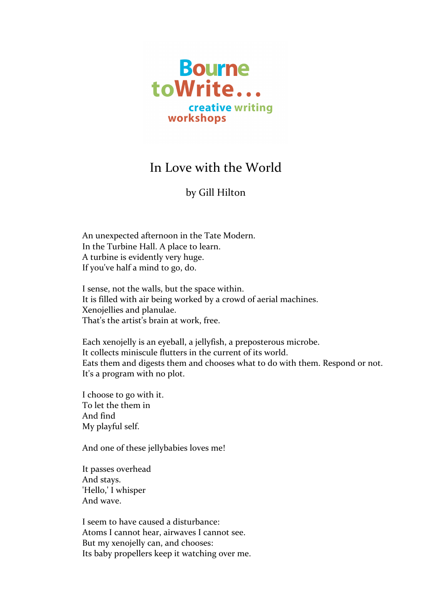

## In Love with the World

## by Gill Hilton

An unexpected afternoon in the Tate Modern. In the Turbine Hall. A place to learn. A turbine is evidently very huge. If you've half a mind to go, do.

I sense, not the walls, but the space within. It is filled with air being worked by a crowd of aerial machines. Xenojellies and planulae. That's the artist's brain at work, free.

Each xenojelly is an eyeball, a jellyfish, a preposterous microbe. It collects miniscule flutters in the current of its world. Eats them and digests them and chooses what to do with them. Respond or not. It's a program with no plot.

I choose to go with it. To let the them in And find My playful self.

And one of these jellybabies loves me!

It passes overhead And stays. 'Hello,' I whisper And wave.

I seem to have caused a disturbance: Atoms I cannot hear, airwaves I cannot see. But my xenojelly can, and chooses: Its baby propellers keep it watching over me.